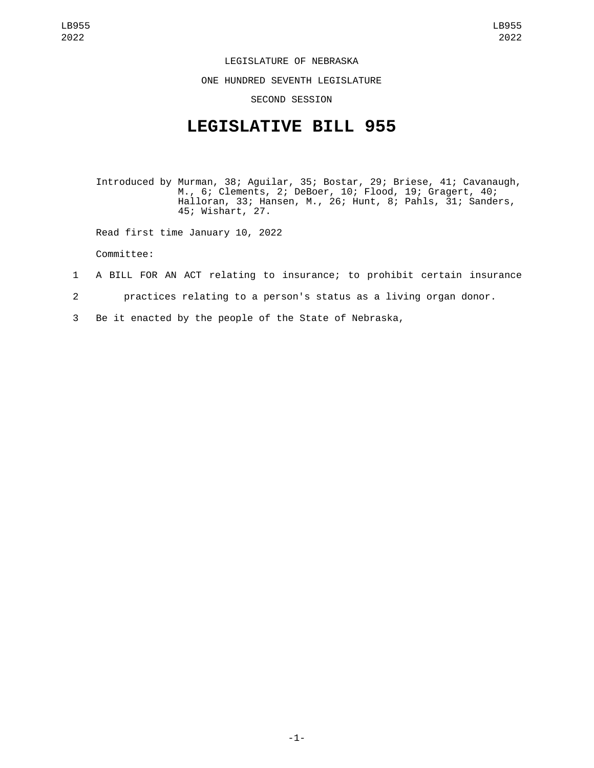## LEGISLATURE OF NEBRASKA

ONE HUNDRED SEVENTH LEGISLATURE

## SECOND SESSION

## **LEGISLATIVE BILL 955**

Introduced by Murman, 38; Aguilar, 35; Bostar, 29; Briese, 41; Cavanaugh, M., 6; Clements, 2; DeBoer, 10; Flood, 19; Gragert, 40; Halloran, 33; Hansen, M., 26; Hunt, 8; Pahls, 31; Sanders, 45; Wishart, 27.

Read first time January 10, 2022

Committee:

## 1 A BILL FOR AN ACT relating to insurance; to prohibit certain insurance

- 2 practices relating to a person's status as a living organ donor.
- 3 Be it enacted by the people of the State of Nebraska,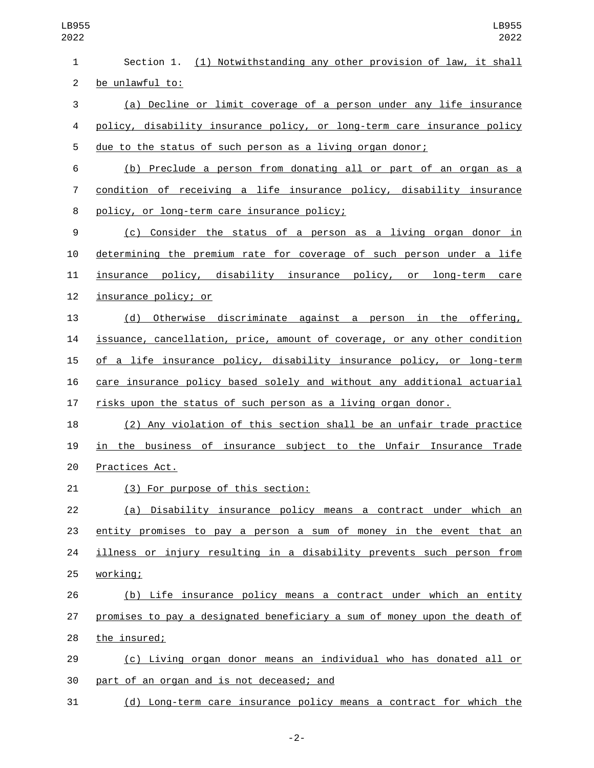| $\mathbf{1}$   | Section 1. (1) Notwithstanding any other provision of law, it shall       |
|----------------|---------------------------------------------------------------------------|
| $\overline{2}$ | be unlawful to:                                                           |
| 3              | (a) Decline or limit coverage of a person under any life insurance        |
| 4              | policy, disability insurance policy, or long-term care insurance policy   |
| 5              | due to the status of such person as a living organ donor;                 |
| 6              | (b) Preclude a person from donating all or part of an organ as a          |
| 7              | condition of receiving a life insurance policy, disability insurance      |
| 8              | policy, or long-term care insurance policy;                               |
| 9              | (c) Consider the status of a person as a living organ donor in            |
| 10             | determining the premium rate for coverage of such person under a life     |
| 11             | insurance policy, disability insurance policy, or long-term care          |
| 12             | insurance policy; or                                                      |
| 13             | (d) Otherwise discriminate against a person in the offering,              |
| 14             | issuance, cancellation, price, amount of coverage, or any other condition |
| 15             | of a life insurance policy, disability insurance policy, or long-term     |
| 16             | care insurance policy based solely and without any additional actuarial   |
| 17             | risks upon the status of such person as a living organ donor.             |
| 18             | (2) Any violation of this section shall be an unfair trade practice       |
| 19             | in the business of insurance subject to the Unfair Insurance Trade        |
| 20             | Practices Act.                                                            |
| 21             | (3) For purpose of this section:                                          |
| 22             | (a) Disability insurance policy means a contract under which an           |
| 23             | entity promises to pay a person a sum of money in the event that an       |
| 24             | illness or injury resulting in a disability prevents such person from     |
| 25             | working;                                                                  |
| 26             | (b) Life insurance policy means a contract under which an entity          |
| 27             | promises to pay a designated beneficiary a sum of money upon the death of |
| 28             | the insured;                                                              |
| 29             | (c) Living organ donor means an individual who has donated all or         |
| 30             | part of an organ and is not deceased; and                                 |
| 31             | (d) Long-term care insurance policy means a contract for which the        |